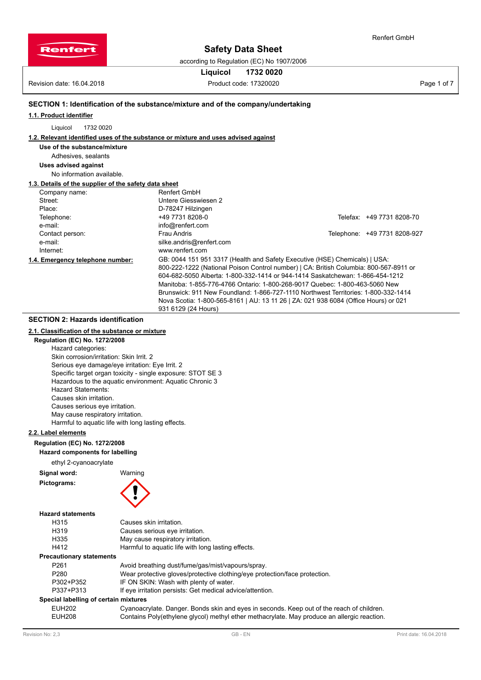

according to Regulation (EC) No 1907/2006

# **Liquicol 1732 0020**

Revision date: 16.04.2018 **Product code: 17320020** Product code: 17320020

Renfert GmbH

# **SECTION 1: Identification of the substance/mixture and of the company/undertaking**

**1.1. Product identifier**

Liquicol 1732 0020

## **1.2. Relevant identified uses of the substance or mixture and uses advised against**

## **Use of the substance/mixture**

# Adhesives, sealants

**Uses advised against** No information available.

#### **1.3. Details of the supplier of the safety data sheet**

| <b>1.3. Details Of the supplier Of the salety data sheet</b> |                                                                                       |                              |
|--------------------------------------------------------------|---------------------------------------------------------------------------------------|------------------------------|
| Company name:                                                | <b>Renfert GmbH</b>                                                                   |                              |
| Street:                                                      | Untere Giesswiesen 2                                                                  |                              |
| Place:                                                       | D-78247 Hilzingen                                                                     |                              |
| Telephone:                                                   | +49 7731 8208-0                                                                       | Telefax: +49 7731 8208-70    |
| e-mail:                                                      | info@renfert.com                                                                      |                              |
| Contact person:                                              | Frau Andris                                                                           | Telephone: +49 7731 8208-927 |
| e-mail:                                                      | silke.andris@renfert.com                                                              |                              |
| Internet:                                                    | www.renfert.com                                                                       |                              |
| 1.4. Emergency telephone number:                             | GB: 0044 151 951 3317 (Health and Safety Executive (HSE) Chemicals)   USA:            |                              |
|                                                              | 800-222-1222 (National Poison Control number)   CA: British Columbia: 800-567-8911 or |                              |
|                                                              | 604-682-5050 Alberta: 1-800-332-1414 or 944-1414 Saskatchewan: 1-866-454-1212         |                              |
|                                                              | Manitoba: 1-855-776-4766 Ontario: 1-800-268-9017 Quebec: 1-800-463-5060 New           |                              |
|                                                              | Brunswick: 911 New Foundland: 1-866-727-1110 Northwest Territories: 1-800-332-1414    |                              |
|                                                              | Nova Scotia: 1-800-565-8161   AU: 13 11 26   ZA: 021 938 6084 (Office Hours) or 021   |                              |
|                                                              | 931 6129 (24 Hours)                                                                   |                              |

# **SECTION 2: Hazards identification**

#### **2.1. Classification of the substance or mixture**

**Regulation (EC) No. 1272/2008**

Hazard categories: Skin corrosion/irritation: Skin Irrit. 2 Serious eye damage/eye irritation: Eye Irrit. 2 Specific target organ toxicity - single exposure: STOT SE 3 Hazardous to the aquatic environment: Aquatic Chronic 3 Hazard Statements: Causes skin irritation. Causes serious eye irritation. May cause respiratory irritation. Harmful to aquatic life with long lasting effects.

# **2.2. Label elements**

### **Regulation (EC) No. 1272/2008**

**Hazard components for labelling**

ethyl 2-cyanoacrylate

**Signal word:** Warning

### **Pictograms:**



## **Hazard statements**

| H315                                  | Causes skin irritation.                                                                     |
|---------------------------------------|---------------------------------------------------------------------------------------------|
| H <sub>3</sub> 19                     | Causes serious eye irritation.                                                              |
| H335                                  | May cause respiratory irritation.                                                           |
| H412                                  | Harmful to aquatic life with long lasting effects.                                          |
| <b>Precautionary statements</b>       |                                                                                             |
| P <sub>261</sub>                      | Avoid breathing dust/fume/gas/mist/vapours/spray.                                           |
| P <sub>280</sub>                      | Wear protective gloves/protective clothing/eye protection/face protection.                  |
| P302+P352                             | IF ON SKIN: Wash with plenty of water.                                                      |
| P337+P313                             | If eye irritation persists: Get medical advice/attention.                                   |
| Special labelling of certain mixtures |                                                                                             |
| <b>EUH202</b>                         | Cyanoacrylate. Danger. Bonds skin and eyes in seconds. Keep out of the reach of children.   |
| EUH208                                | Contains Poly(ethylene glycol) methyl ether methacrylate. May produce an allergic reaction. |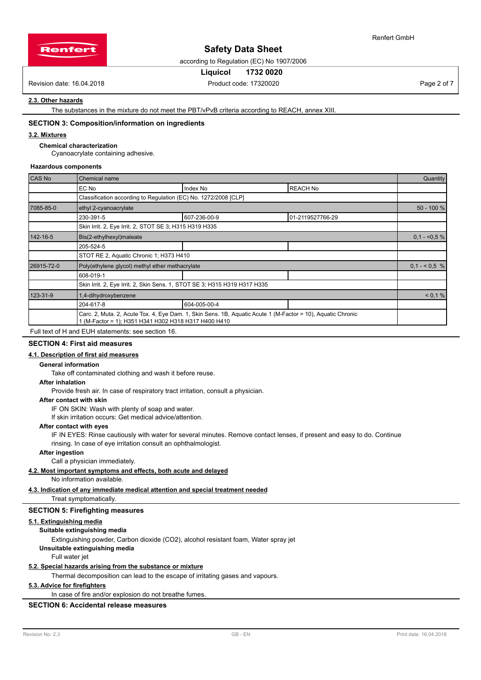

Renfert GmbH

according to Regulation (EC) No 1907/2006

## **Liquicol 1732 0020**

Revision date: 16.04.2018 **Product code: 17320020** Product code: 17320020 **Page 2 of 7** Page 2 of 7

# **2.3. Other hazards**

The substances in the mixture do not meet the PBT/vPvB criteria according to REACH, annex XIII.

#### **SECTION 3: Composition/information on ingredients**

# **3.2. Mixtures**

#### **Chemical characterization**

Cyanoacrylate containing adhesive.

#### **Hazardous components**

| <b>CAS No</b> | Chemical name                                                             |                                                                                                             |                  |              |  |  |
|---------------|---------------------------------------------------------------------------|-------------------------------------------------------------------------------------------------------------|------------------|--------------|--|--|
|               | EC No                                                                     | Index No                                                                                                    | <b>REACH No</b>  |              |  |  |
|               | Classification according to Regulation (EC) No. 1272/2008 [CLP]           |                                                                                                             |                  |              |  |  |
| 7085-85-0     | ethyl 2-cyanoacrylate                                                     |                                                                                                             |                  | 50 - 100 %   |  |  |
|               | 230-391-5                                                                 | 607-236-00-9                                                                                                | 01-2119527766-29 |              |  |  |
|               | Skin Irrit. 2, Eye Irrit. 2, STOT SE 3; H315 H319 H335                    |                                                                                                             |                  |              |  |  |
| 142-16-5      | Bis(2-ethylhexyl)maleate                                                  |                                                                                                             |                  |              |  |  |
|               | 205-524-5                                                                 |                                                                                                             |                  |              |  |  |
|               | STOT RE 2, Aquatic Chronic 1; H373 H410                                   |                                                                                                             |                  |              |  |  |
| 26915-72-0    | Poly(ethylene glycol) methyl ether methacrylate                           |                                                                                                             |                  | $0,1 - 5, 6$ |  |  |
|               | 608-019-1                                                                 |                                                                                                             |                  |              |  |  |
|               | Skin Irrit. 2, Eye Irrit. 2, Skin Sens. 1, STOT SE 3; H315 H319 H317 H335 |                                                                                                             |                  |              |  |  |
| 123-31-9      | 1,4-dihydroxybenzene                                                      |                                                                                                             |                  | < 0.1 %      |  |  |
|               | 204-617-8                                                                 | 604-005-00-4                                                                                                |                  |              |  |  |
|               | 1 (M-Factor = 1); H351 H341 H302 H318 H317 H400 H410                      | Carc. 2, Muta. 2, Acute Tox. 4, Eye Dam. 1, Skin Sens. 1B, Aquatic Acute 1 (M-Factor = 10), Aquatic Chronic |                  |              |  |  |
|               | Full text of H and FUH statements: see section 16                         |                                                                                                             |                  |              |  |  |

Full text of H and EUH statements: see section 16.

# **SECTION 4: First aid measures**

# **4.1. Description of first aid measures**

**General information**

Take off contaminated clothing and wash it before reuse.

#### **After inhalation**

Provide fresh air. In case of respiratory tract irritation, consult a physician.

#### **After contact with skin**

IF ON SKIN: Wash with plenty of soap and water.

If skin irritation occurs: Get medical advice/attention.

## **After contact with eyes**

IF IN EYES: Rinse cautiously with water for several minutes. Remove contact lenses, if present and easy to do. Continue rinsing. In case of eye irritation consult an ophthalmologist.

#### **After ingestion**

Call a physician immediately.

#### **4.2. Most important symptoms and effects, both acute and delayed**

No information available.

#### **4.3. Indication of any immediate medical attention and special treatment needed**

Treat symptomatically.

# **SECTION 5: Firefighting measures**

#### **5.1. Extinguishing media**

**Suitable extinguishing media**

Extinguishing powder, Carbon dioxide (CO2), alcohol resistant foam, Water spray jet

**Unsuitable extinguishing media**

# Full water jet

## **5.2. Special hazards arising from the substance or mixture**

Thermal decomposition can lead to the escape of irritating gases and vapours.

# **5.3. Advice for firefighters**

In case of fire and/or explosion do not breathe fumes.

# **SECTION 6: Accidental release measures**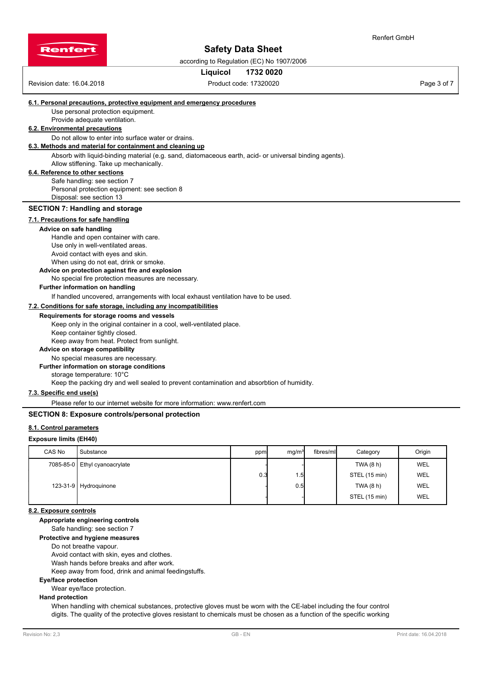

Renfert GmbH

according to Regulation (EC) No 1907/2006

## **Liquicol 1732 0020**

Revision date: 16.04.2018 **Product code: 17320020** Product code: 17320020

#### **6.1. Personal precautions, protective equipment and emergency procedures**

Use personal protection equipment.

Provide adequate ventilation.

# **6.2. Environmental precautions**

Do not allow to enter into surface water or drains.

# **6.3. Methods and material for containment and cleaning up**

Absorb with liquid-binding material (e.g. sand, diatomaceous earth, acid- or universal binding agents). Allow stiffening. Take up mechanically.

## **6.4. Reference to other sections**

Safe handling: see section 7 Personal protection equipment: see section 8 Disposal: see section 13

#### **SECTION 7: Handling and storage**

## **7.1. Precautions for safe handling**

#### **Advice on safe handling**

Handle and open container with care. Use only in well-ventilated areas. Avoid contact with eyes and skin. When using do not eat, drink or smoke.

## **Advice on protection against fire and explosion**

#### No special fire protection measures are necessary.

### **Further information on handling**

If handled uncovered, arrangements with local exhaust ventilation have to be used.

## **7.2. Conditions for safe storage, including any incompatibilities**

#### **Requirements for storage rooms and vessels**

Keep only in the original container in a cool, well-ventilated place. Keep container tightly closed. Keep away from heat. Protect from sunlight.

#### **Advice on storage compatibility**

No special measures are necessary.

#### **Further information on storage conditions**

storage temperature: 10°C

Keep the packing dry and well sealed to prevent contamination and absorbtion of humidity.

#### **7.3. Specific end use(s)**

Please refer to our internet website for more information: www.renfert.com

#### **SECTION 8: Exposure controls/personal protection**

#### **8.1. Control parameters**

#### **Exposure limits (EH40)**

| CAS No | Substance                       | ppm | mq/m <sup>3</sup> | fibres/ml | Category      | Origin |
|--------|---------------------------------|-----|-------------------|-----------|---------------|--------|
|        | 7085-85-0   Ethyl cyanoacrylate |     |                   |           | TWA (8 h)     | WEL    |
|        |                                 | 0.3 | ا5، ،             |           | STEL (15 min) | WEL    |
|        | 123-31-9 Hydroquinone           |     | 0.5               |           | TWA (8 h)     | WEL    |
|        |                                 |     |                   |           | STEL (15 min) | WEL    |

## **8.2. Exposure controls**

## **Appropriate engineering controls**

Safe handling: see section 7

**Protective and hygiene measures**

## Do not breathe vapour.

Avoid contact with skin, eyes and clothes.

Wash hands before breaks and after work.

Keep away from food, drink and animal feedingstuffs.

#### **Eye/face protection**

Wear eye/face protection.

#### **Hand protection**

When handling with chemical substances, protective gloves must be worn with the CE-label including the four control digits. The quality of the protective gloves resistant to chemicals must be chosen as a function of the specific working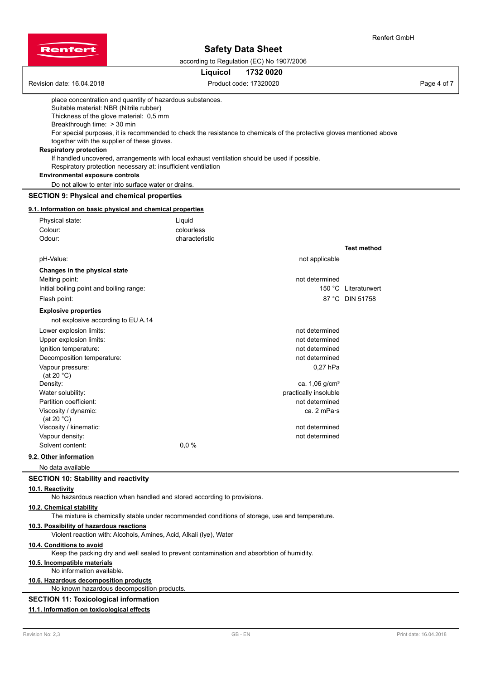



according to Regulation (EC) No 1907/2006

|                                                                                                                                                                                                                                                                                                                                                                                                                                                                                                                                                                                                                                                            | Liquicol                               | 1732 0020                                                            |                                         |
|------------------------------------------------------------------------------------------------------------------------------------------------------------------------------------------------------------------------------------------------------------------------------------------------------------------------------------------------------------------------------------------------------------------------------------------------------------------------------------------------------------------------------------------------------------------------------------------------------------------------------------------------------------|----------------------------------------|----------------------------------------------------------------------|-----------------------------------------|
| Revision date: 16.04.2018                                                                                                                                                                                                                                                                                                                                                                                                                                                                                                                                                                                                                                  |                                        | Product code: 17320020                                               | Page 4 of 7                             |
| place concentration and quantity of hazardous substances.<br>Suitable material: NBR (Nitrile rubber)<br>Thickness of the glove material: 0,5 mm<br>Breakthrough time: > 30 min<br>For special purposes, it is recommended to check the resistance to chemicals of the protective gloves mentioned above<br>together with the supplier of these gloves.<br><b>Respiratory protection</b><br>If handled uncovered, arrangements with local exhaust ventilation should be used if possible.<br>Respiratory protection necessary at: insufficient ventilation<br><b>Environmental exposure controls</b><br>Do not allow to enter into surface water or drains. |                                        |                                                                      |                                         |
| <b>SECTION 9: Physical and chemical properties</b>                                                                                                                                                                                                                                                                                                                                                                                                                                                                                                                                                                                                         |                                        |                                                                      |                                         |
| 9.1. Information on basic physical and chemical properties                                                                                                                                                                                                                                                                                                                                                                                                                                                                                                                                                                                                 |                                        |                                                                      |                                         |
| Physical state:<br>Colour:<br>Odour:                                                                                                                                                                                                                                                                                                                                                                                                                                                                                                                                                                                                                       | Liquid<br>colourless<br>characteristic |                                                                      |                                         |
|                                                                                                                                                                                                                                                                                                                                                                                                                                                                                                                                                                                                                                                            |                                        |                                                                      | <b>Test method</b>                      |
| pH-Value:                                                                                                                                                                                                                                                                                                                                                                                                                                                                                                                                                                                                                                                  |                                        | not applicable                                                       |                                         |
| Changes in the physical state<br>Melting point:<br>Initial boiling point and boiling range:<br>Flash point:                                                                                                                                                                                                                                                                                                                                                                                                                                                                                                                                                |                                        | not determined                                                       | 150 °C Literaturwert<br>87 °C DIN 51758 |
| <b>Explosive properties</b><br>not explosive according to EU A.14                                                                                                                                                                                                                                                                                                                                                                                                                                                                                                                                                                                          |                                        |                                                                      |                                         |
| Lower explosion limits:<br>Upper explosion limits:<br>Ignition temperature:<br>Decomposition temperature:                                                                                                                                                                                                                                                                                                                                                                                                                                                                                                                                                  |                                        | not determined<br>not determined<br>not determined<br>not determined |                                         |
| Vapour pressure:<br>(at 20 $°C$ )<br>Density:<br>Water solubility:                                                                                                                                                                                                                                                                                                                                                                                                                                                                                                                                                                                         |                                        | 0,27 hPa<br>ca. $1,06$ g/cm <sup>3</sup><br>practically insoluble    |                                         |
| Partition coefficient:<br>Viscosity / dynamic:<br>(at 20 $°C$ )<br>Viscosity / kinematic:                                                                                                                                                                                                                                                                                                                                                                                                                                                                                                                                                                  |                                        | not determined<br>ca. $2 mPa·s$<br>not determined                    |                                         |
| Vapour density:<br>Solvent content:                                                                                                                                                                                                                                                                                                                                                                                                                                                                                                                                                                                                                        | 0.0%                                   | not determined                                                       |                                         |
| 9.2. Other information                                                                                                                                                                                                                                                                                                                                                                                                                                                                                                                                                                                                                                     |                                        |                                                                      |                                         |
| No data available                                                                                                                                                                                                                                                                                                                                                                                                                                                                                                                                                                                                                                          |                                        |                                                                      |                                         |
| <b>SECTION 10: Stability and reactivity</b>                                                                                                                                                                                                                                                                                                                                                                                                                                                                                                                                                                                                                |                                        |                                                                      |                                         |
| 10.1. Reactivity<br>No hazardous reaction when handled and stored according to provisions.                                                                                                                                                                                                                                                                                                                                                                                                                                                                                                                                                                 |                                        |                                                                      |                                         |
| 10.2. Chemical stability<br>The mixture is chemically stable under recommended conditions of storage, use and temperature.                                                                                                                                                                                                                                                                                                                                                                                                                                                                                                                                 |                                        |                                                                      |                                         |
| 10.3. Possibility of hazardous reactions<br>Violent reaction with: Alcohols, Amines, Acid, Alkali (Iye), Water                                                                                                                                                                                                                                                                                                                                                                                                                                                                                                                                             |                                        |                                                                      |                                         |
| 10.4. Conditions to avoid                                                                                                                                                                                                                                                                                                                                                                                                                                                                                                                                                                                                                                  |                                        |                                                                      |                                         |

Keep the packing dry and well sealed to prevent contamination and absorbtion of humidity.

# **10.5. Incompatible materials**

# No information available.

# **10.6. Hazardous decomposition products**

No known hazardous decomposition products.

# **SECTION 11: Toxicological information**

# **11.1. Information on toxicological effects**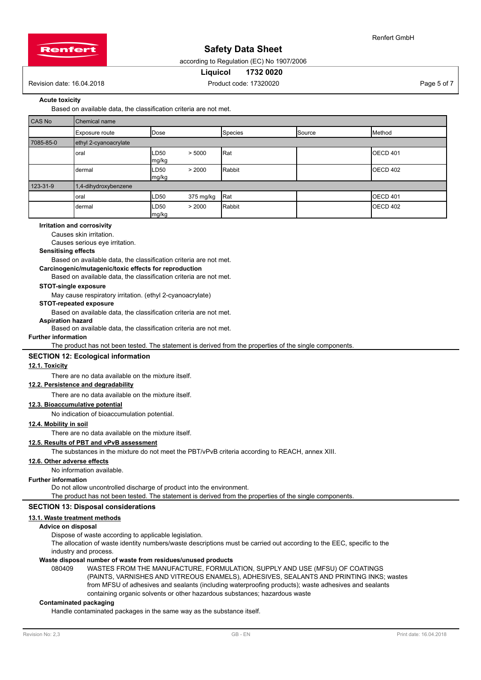

according to Regulation (EC) No 1907/2006

## **Liquicol 1732 0020**

Revision date: 16.04.2018 **Product code: 17320020** Product code: 17320020

Renfert GmbH

# **Acute toxicity**

Based on available data, the classification criteria are not met.

| CAS No    | Chemical name                                                         |                           |           |         |        |                  |  |
|-----------|-----------------------------------------------------------------------|---------------------------|-----------|---------|--------|------------------|--|
|           | Exposure route                                                        | Dose                      |           | Species | Source | Method           |  |
| 7085-85-0 | ethyl 2-cyanoacrylate                                                 |                           |           |         |        |                  |  |
|           | Rat<br><b>OECD 401</b><br>LD <sub>50</sub><br>> 5000<br>oral<br>mg/kg |                           |           |         |        |                  |  |
|           | dermal                                                                | LD <sub>50</sub><br>mg/kg | > 2000    | Rabbit  |        | <b>IOECD 402</b> |  |
| 123-31-9  | 1,4-dihydroxybenzene                                                  |                           |           |         |        |                  |  |
|           | loral                                                                 | LD50                      | 375 mg/kg | Rat     |        | <b>IOECD 401</b> |  |
|           | dermal                                                                | LD <sub>50</sub><br>mg/kg | > 2000    | Rabbit  |        | OECD 402         |  |

#### **Irritation and corrosivity**

Causes skin irritation.

Causes serious eye irritation.

#### **Sensitising effects**

Based on available data, the classification criteria are not met.

# **Carcinogenic/mutagenic/toxic effects for reproduction**

Based on available data, the classification criteria are not met.

# **STOT-single exposure**

May cause respiratory irritation. (ethyl 2-cyanoacrylate)

## **STOT-repeated exposure**

Based on available data, the classification criteria are not met.

# **Aspiration hazard**

Based on available data, the classification criteria are not met.

## **Further information**

The product has not been tested. The statement is derived from the properties of the single components.

#### **SECTION 12: Ecological information**

## **12.1. Toxicity**

There are no data available on the mixture itself.

# **12.2. Persistence and degradability**

There are no data available on the mixture itself.

#### **12.3. Bioaccumulative potential**

No indication of bioaccumulation potential.

## **12.4. Mobility in soil**

There are no data available on the mixture itself.

# **12.5. Results of PBT and vPvB assessment**

The substances in the mixture do not meet the PBT/vPvB criteria according to REACH, annex XIII.

## **12.6. Other adverse effects**

No information available.

#### **Further information**

Do not allow uncontrolled discharge of product into the environment.

The product has not been tested. The statement is derived from the properties of the single components.

# **SECTION 13: Disposal considerations**

# **13.1. Waste treatment methods**

# **Advice on disposal**

Dispose of waste according to applicable legislation.

The allocation of waste identity numbers/waste descriptions must be carried out according to the EEC, specific to the industry and process.

## **Waste disposal number of waste from residues/unused products**

080409 WASTES FROM THE MANUFACTURE, FORMULATION, SUPPLY AND USE (MFSU) OF COATINGS (PAINTS, VARNISHES AND VITREOUS ENAMELS), ADHESIVES, SEALANTS AND PRINTING INKS; wastes from MFSU of adhesives and sealants (including waterproofing products); waste adhesives and sealants containing organic solvents or other hazardous substances; hazardous waste

## **Contaminated packaging**

Handle contaminated packages in the same way as the substance itself.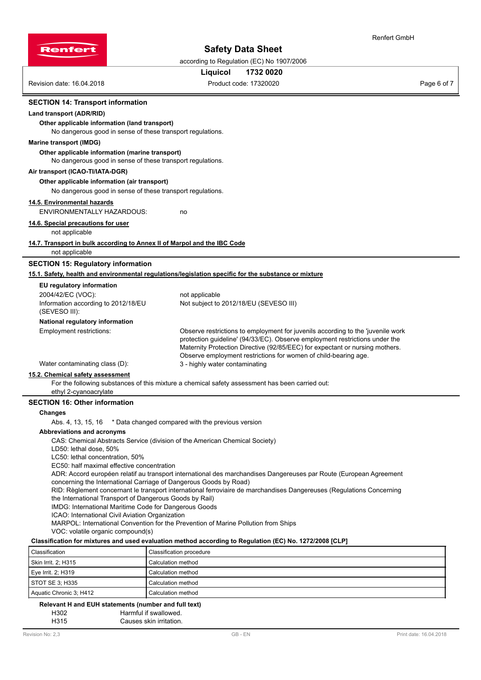

according to Regulation (EC) No 1907/2006

# **Liquicol 1732 0020**

Renfert GmbH

Revision date: 16.04.2018 **Product code: 17320020** Product code: 17320020

#### **SECTION 14: Transport information**

## **Land transport (ADR/RID)**

**Other applicable information (land transport)**

No dangerous good in sense of these transport regulations.

#### **Marine transport (IMDG)**

## **Other applicable information (marine transport)**

No dangerous good in sense of these transport regulations.

#### **Air transport (ICAO-TI/IATA-DGR)**

#### **Other applicable information (air transport)**

No dangerous good in sense of these transport regulations.

#### **14.5. Environmental hazards**

ENVIRONMENTALLY HAZARDOUS: no

**14.6. Special precautions for user**

### not applicable

#### **14.7. Transport in bulk according to Annex II of Marpol and the IBC Code**

not applicable

### **SECTION 15: Regulatory information**

#### **15.1. Safety, health and environmental regulations/legislation specific for the substance or mixture**

| EU regulatory information                            |                                                                                                                                                                                                                                                                                                                   |
|------------------------------------------------------|-------------------------------------------------------------------------------------------------------------------------------------------------------------------------------------------------------------------------------------------------------------------------------------------------------------------|
| 2004/42/EC (VOC):                                    | not applicable                                                                                                                                                                                                                                                                                                    |
| Information according to 2012/18/EU<br>(SEVESO III): | Not subject to 2012/18/EU (SEVESO III)                                                                                                                                                                                                                                                                            |
| National regulatory information                      |                                                                                                                                                                                                                                                                                                                   |
| Employment restrictions:                             | Observe restrictions to employment for juvenils according to the 'juvenile work<br>protection quideline' (94/33/EC). Observe employment restrictions under the<br>Maternity Protection Directive (92/85/EEC) for expectant or nursing mothers.<br>Observe employment restrictions for women of child-bearing age. |
| Water contaminating class (D):                       | 3 - highly water contaminating                                                                                                                                                                                                                                                                                    |
| 15.2. Chemical safety assessment                     |                                                                                                                                                                                                                                                                                                                   |
|                                                      |                                                                                                                                                                                                                                                                                                                   |

For the following substances of this mixture a chemical safety assessment has been carried out: ethyl 2-cyanoacrylate

## **SECTION 16: Other information**

#### **Changes**

Abs. 4, 13, 15, 16 \* Data changed compared with the previous version

#### **Abbreviations and acronyms**

CAS: Chemical Abstracts Service (division of the American Chemical Society)

LD50: lethal dose, 50%

LC50: lethal concentration, 50%

EC50: half maximal effective concentration

ADR: Accord européen relatif au transport international des marchandises Dangereuses par Route (European Agreement concerning the International Carriage of Dangerous Goods by Road)

RID: Règlement concernant le transport international ferroviaire de marchandises Dangereuses (Regulations Concerning the International Transport of Dangerous Goods by Rail)

IMDG: International Maritime Code for Dangerous Goods

ICAO: International Civil Aviation Organization

MARPOL: International Convention for the Prevention of Marine Pollution from Ships

VOC: volatile organic compound(s)

# **Classification for mixtures and used evaluation method according to Regulation (EC) No. 1272/2008 [CLP]**

| Classification          | Classification procedure |
|-------------------------|--------------------------|
| Skin Irrit. 2; H315     | Calculation method       |
| Eye Irrit. 2; $H319$    | Calculation method       |
| STOT SE 3: H335         | Calculation method       |
| Aquatic Chronic 3; H412 | Calculation method       |

#### **Relevant H and EUH statements (number and full text)**

H302 Harmful if swallowed.

H315 Causes skin irritation.